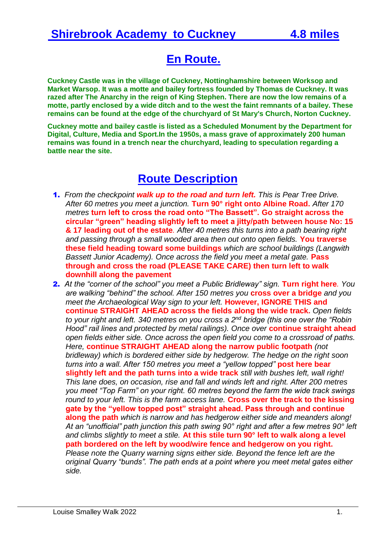## **En Route.**

**Cuckney Castle was in the village of [Cuckney,](https://en.wikipedia.org/wiki/Cuckney) [Nottinghamshire](https://en.wikipedia.org/wiki/Nottinghamshire) between [Worksop](https://en.wikipedia.org/wiki/Worksop) and [Market Warsop.](https://en.wikipedia.org/wiki/Market_Warsop) It was a [motte and bailey](https://en.wikipedia.org/wiki/Motte_and_bailey) fortress founded by Thomas de Cuckney. It was razed after [The Anarchy](https://en.wikipedia.org/wiki/The_Anarchy) in the reign of [King Stephen.](https://en.wikipedia.org/wiki/Stephen_of_England) There are now the low remains of a motte, partly enclosed by a wide ditch and to the west the faint remnants of a bailey. These remains can be found at the edge of the churchyard of [St Mary's Church, Norton Cuckney.](https://en.wikipedia.org/wiki/St_Mary)**

**Cuckney motte and bailey castle is listed as a [Scheduled Monument](https://en.wikipedia.org/wiki/Scheduled_Monument) by the [Department for](https://en.wikipedia.org/wiki/Department_for_Digital,_Culture,_Media_and_Sport)  [Digital, Culture, Media and Sport.](https://en.wikipedia.org/wiki/Department_for_Digital,_Culture,_Media_and_Sport)In the 1950s, a mass grave of approximately 200 human remains was found in a trench near the churchyard, leading to speculation regarding a battle near the site.**

## **Route Description**

- 1. *From the checkpoint walk up to the road and turn left. This is Pear Tree Drive. After 60 metres you meet a junction.* **Turn 90° right onto Albine Road.** *After 170 metres* **turn left to cross the road onto "The Bassett". Go straight across the circular "green" heading slightly left to meet a jitty/path between house No: 15 & 17 leading out of the estate***. After 40 metres this turns into a path bearing right and passing through a small wooded area then out onto open fields.* **You traverse these field heading toward some buildings** *which are school buildings (Langwith Bassett Junior Academy). Once across the field you meet a metal gate.* **Pass through and cross the road (PLEASE TAKE CARE) then turn left to walk downhill along the pavement**
- 2. *At the "corner of the school" you meet a Public Bridleway" sign.* **Turn right here***. You are walking "behind" the school. After 150 metres you* **cross over a bridge** *and you meet the Archaeological Way sign to your left.* **However, IGNORE THIS and continue STRAIGHT AHEAD across the fields along the wide track.** *Open fields to your right and left. 340 metres on you cross a 2nd bridge (this one over the "Robin Hood" rail lines and protected by metal railings). Once over* **continue straight ahead** *open fields either side. Once across the open field you come to a crossroad of paths. Here,* **continue STRAIGHT AHEAD along the narrow public footpath** *(not bridleway) which is bordered either side by hedgerow. The hedge on the right soon turns into a wall. After 150 metres you meet a "yellow topped"* **post here bear slightly left and the path turns into a wide track** *still with bushes left, wall right! This lane does, on occasion, rise and fall and winds left and right. After 200 metres you meet "Top Farm" on your right. 60 metres beyond the farm the wide track swings round to your left. This is the farm access lane.* **Cross over the track to the kissing gate by the "yellow topped post" straight ahead. Pass through and continue along the path** *which is narrow and has hedgerow either side and meanders along! At an "unofficial" path junction this path swing 90° right and after a few metres 90° left and climbs slightly to meet a stile.* **At this stile turn 90° left to walk along a level path bordered on the left by wood/wire fence and hedgerow on you right.** *Please note the Quarry warning signs either side. Beyond the fence left are the original Quarry "bunds". The path ends at a point where you meet metal gates either side.*